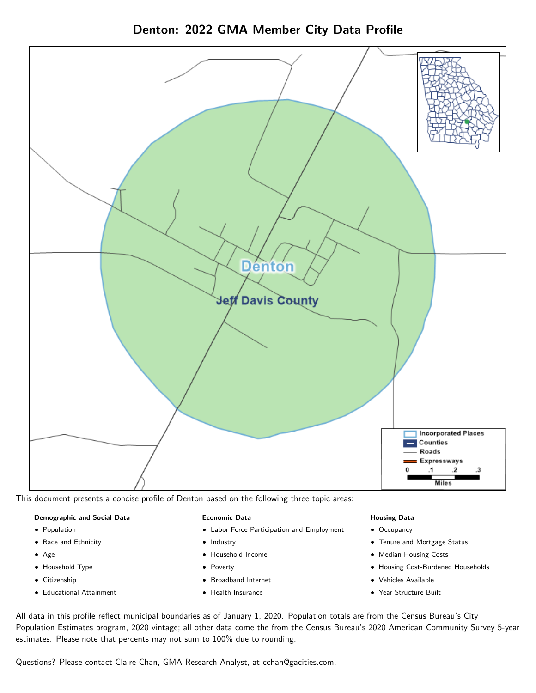



This document presents a concise profile of Denton based on the following three topic areas:

#### Demographic and Social Data

- **•** Population
- Race and Ethnicity
- Age
- Household Type
- **Citizenship**
- Educational Attainment

#### Economic Data

- Labor Force Participation and Employment
- Industry
- Household Income
- Poverty
- Broadband Internet
- Health Insurance

#### Housing Data

- Occupancy
- Tenure and Mortgage Status
- Median Housing Costs
- Housing Cost-Burdened Households
- Vehicles Available
- Year Structure Built

All data in this profile reflect municipal boundaries as of January 1, 2020. Population totals are from the Census Bureau's City Population Estimates program, 2020 vintage; all other data come the from the Census Bureau's 2020 American Community Survey 5-year estimates. Please note that percents may not sum to 100% due to rounding.

Questions? Please contact Claire Chan, GMA Research Analyst, at [cchan@gacities.com.](mailto:cchan@gacities.com)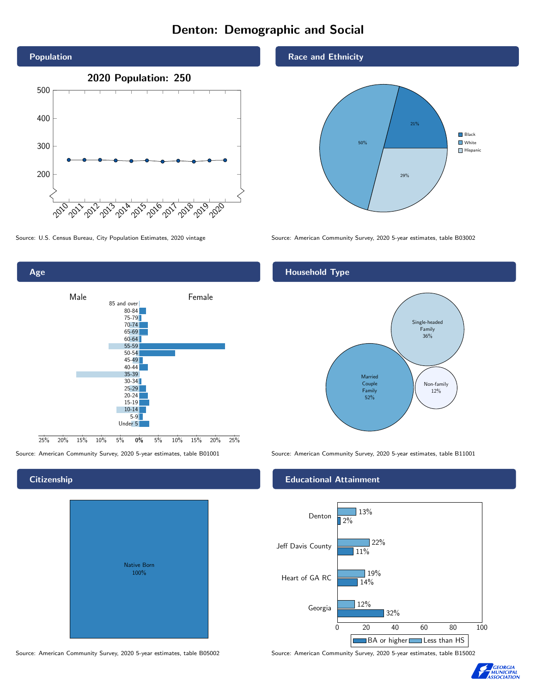# Denton: Demographic and Social







# **Citizenship**

| <b>Native Born</b><br>100% |  |
|----------------------------|--|

Source: American Community Survey, 2020 5-year estimates, table B05002 Source: American Community Survey, 2020 5-year estimates, table B15002

## Race and Ethnicity



## Household Type



Source: American Community Survey, 2020 5-year estimates, table B01001 Source: American Community Survey, 2020 5-year estimates, table B11001

## Educational Attainment



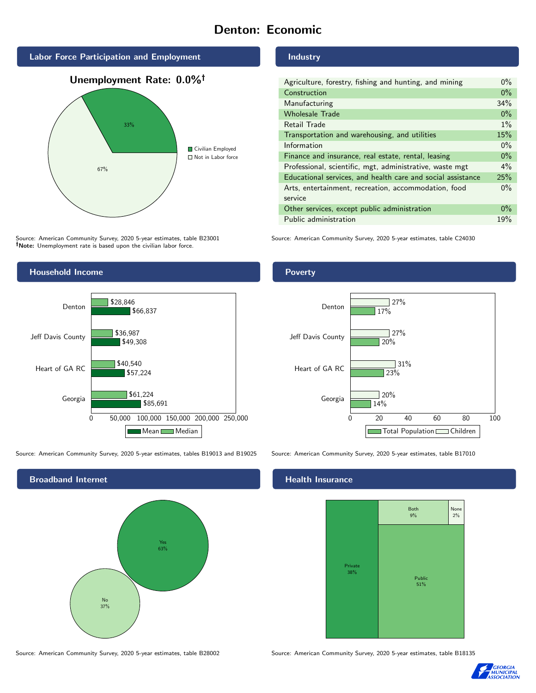# Denton: Economic







Source: American Community Survey, 2020 5-year estimates, table B23001 Note: Unemployment rate is based upon the civilian labor force.

## Industry

| Agriculture, forestry, fishing and hunting, and mining      | $0\%$ |
|-------------------------------------------------------------|-------|
| Construction                                                | $0\%$ |
| Manufacturing                                               | 34%   |
| <b>Wholesale Trade</b>                                      | $0\%$ |
| Retail Trade                                                | $1\%$ |
| Transportation and warehousing, and utilities               |       |
| Information                                                 | $0\%$ |
| Finance and insurance, real estate, rental, leasing         |       |
| Professional, scientific, mgt, administrative, waste mgt    |       |
| Educational services, and health care and social assistance |       |
| Arts, entertainment, recreation, accommodation, food        |       |
| service                                                     |       |
| Other services, except public administration                |       |
| Public administration                                       |       |

Source: American Community Survey, 2020 5-year estimates, table C24030



Source: American Community Survey, 2020 5-year estimates, tables B19013 and B19025 Source: American Community Survey, 2020 5-year estimates, table B17010



Poverty



## **Health Insurance**



Source: American Community Survey, 2020 5-year estimates, table B28002 Source: American Community Survey, 2020 5-year estimates, table B18135